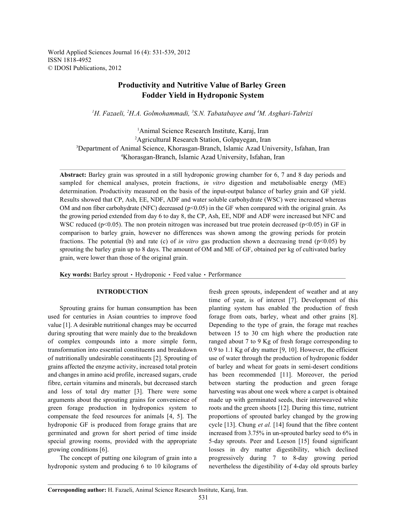World Applied Sciences Journal 16 (4): 531-539, 2012 ISSN 1818-4952 © IDOSI Publications, 2012

# **Productivity and Nutritive Value of Barley Green Fodder Yield in Hydroponic System**

<sup>1</sup>H. Fazaeli, <sup>2</sup>H.A. Golmohammadi, <sup>3</sup>S.N. Tabatabayee and <sup>4</sup>M. Asghari-Tabrizi

<sup>1</sup>Animal Science Research Institute, Karaj, Iran <sup>2</sup>Agricultural Research Station, Golpayegan, Iran <sup>3</sup>Department of Animal Science, Khorasgan-Branch, Islamic Azad University, Isfahan, Iran Khorasgan-Branch, Islamic Azad University, Isfahan, Iran <sup>4</sup>

**Abstract:** Barley grain was sprouted in a still hydroponic growing chamber for 6, 7 and 8 day periods and sampled for chemical analyses, protein fractions, *in vitro* digestion and metabolisable energy (ME) determination. Productivity measured on the basis of the input-output balance of barley grain and GF yield. Results showed that CP, Ash, EE, NDF, ADF and water soluble carbohydrate (WSC) were increased whereas OM and non fiber carbohydrate (NFC) decreased ( $p<0.05$ ) in the GF when compared with the original grain. As the growing period extended from day 6 to day 8, the CP, Ash, EE, NDF and ADF were increased but NFC and WSC reduced ( $p<0.05$ ). The non protein nitrogen was increased but true protein decreased ( $p<0.05$ ) in GF in comparison to barley grain, however no differences was shown among the growing periods for protein fractions. The potential (b) and rate (c) of *in vitro* gas production shown a decreasing trend (p<0.05) by sprouting the barley grain up to 8 days. The amount of OM and ME of GF, obtained per kg of cultivated barley grain, were lower than those of the original grain.

Key words: Barley sprout · Hydroponic · Feed value · Performance

used for centuries in Asian countries to improve food forage from oats, barley, wheat and other grains [8]. value [1]. A desirable nutritional changes may be occurred Depending to the type of grain, the forage mat reaches during sprouting that were mainly due to the breakdown between 15 to 30 cm high where the production rate of complex compounds into a more simple form, ranged about 7 to 9 Kg of fresh forage corresponding to transformation into essential constituents and breakdown 0.9 to 1.1 Kg of dry matter [9, 10]. However, the efficient of nutritionally undesirable constituents [2]. Sprouting of use of water through the production of hydroponic fodder grains affected the enzyme activity, increased total protein of barley and wheat for goats in semi-desert conditions and changes in amino acid profile, increased sugars, crude has been recommended [11]. Moreover, the period fibre, certain vitamins and minerals, but decreased starch between starting the production and green forage and loss of total dry matter [3]. There were some harvesting was about one week where a carpet is obtained arguments about the sprouting grains for convenience of made up with germinated seeds, their interweaved white green forage production in hydroponics system to roots and the green shoots [12]. During this time, nutrient compensate the feed resources for animals [4, 5]. The proportions of sprouted barley changed by the growing hydroponic GF is produced from forage grains that are cycle [13]. Chung *et al.* [14] found that the fibre content germinated and grown for short period of time inside increased from 3.75% in un-sprouted barley seed to 6% in special growing rooms, provided with the appropriate 5-day sprouts. Peer and Leeson [15] found significant growing conditions [6]. losses in dry matter digestibility, which declined

hydroponic system and producing 6 to 10 kilograms of nevertheless the digestibility of 4-day old sprouts barley

**INTRODUCTION** fresh green sprouts, independent of weather and at any Sprouting grains for human consumption has been planting system has enabled the production of fresh The concept of putting one kilogram of grain into a progressively during 7 to 8-day growing period time of year, is of interest [7]. Development of this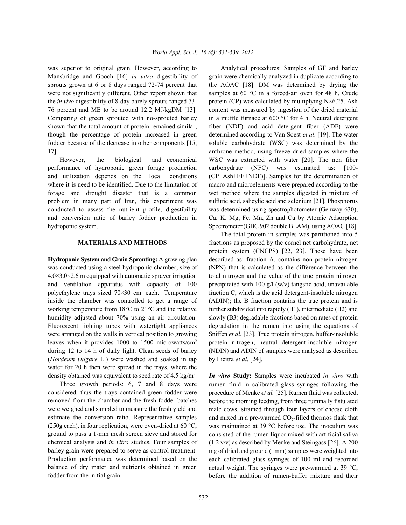Mansbridge and Gooch [16] *in vitro* digestibility of grain were chemically analyzed in duplicate according to sprouts grown at 6 or 8 days ranged 72-74 percent that the AOAC [18]. DM was determined by drying the were not significantly different. Other report shown that samples at 60 °C in a forced-air oven for 48 h. Crude the *in vivo* digestibility of 8-day barely sprouts ranged 73- protein (CP) was calculated by multiplying  $N\times6.25$ . Ash 76 percent and ME to be around 12.2 MJ/kgDM [13]. content was measured by ingestion of the dried material Comparing of green sprouted with no-sprouted barley in a muffle furnace at 600 °C for 4 h. Neutral detergent shown that the total amount of protein remained similar, fiber (NDF) and acid detergent fiber (ADF) were though the percentage of protein increased in green determined according to Van Soest *et al.* [19]. The water fodder because of the decrease in other components [15, soluble carbohydrate (WSC) was determined by the 17]. anthrone method, using freeze dried samples where the

performance of hydroponic green forage production carbohydrate (NFC) was estimated as: [100 and utilization depends on the local conditions (CP+Ash+EE+NDF)]. Samples for the determination of where it is need to be identified. Due to the limitation of macro and microelements were prepared according to the forage and drought disaster that is a common wet method where the samples digested in mixture of problem in many part of Iran, this experiment was sulfuric acid, salicylic acid and selenium [21]. Phosphorus conducted to assess the nutrient profile, digestibility was determined using spectrophotometer (Genway 630), and conversion ratio of barley fodder production in Ca, K, Mg, Fe, Mn, Zn and Cu by Atomic Adsorption hydroponic system. Spectrometer (GBC 902 double BEAM), using AOAC [18].

was conducted using a steel hydroponic chamber, size of (NPN) that is calculated as the difference between the  $4.0\times3.0\times2.6$  m equipped with automatic sprayer irrigation total nitrogen and the value of the true protein nitrogen and ventilation apparatus with capacity of 100 precipitated with 100 g/l (w/v) tangstic acid; unavailable polyethylene trays sized  $70 \times 30$  cm each. Temperature fraction C, which is the acid detergent-insoluble nitrogen inside the chamber was controlled to get a range of (ADIN); the B fraction contains the true protein and is working temperature from 18°C to 21°C and the relative further subdivided into rapidly (B1), intermediate (B2) and humidity adjusted about 70% using an air circulation. slowly (B3) degradable fractions based on rates of protein Fluorescent lighting tubes with watertight appliances degradation in the rumen into using the equations of were arranged on the walls in vertical position to growing Sniffen *et al.* [23]. True protein nitrogen, buffer-insoluble leaves when it provides 1000 to 1500 microwatts/cm<sup>2</sup> protein nitrogen, neutral detergent-insoluble nitrogen during 12 to 14 h of daily light. Clean seeds of barley (NDIN) and ADIN of samples were analysed as described (*Hordeum vulgare* L.) were washed and soaked in tap by Licitra *et al*. [24]. water for 20 h then were spread in the trays, where the density obtained was equivalent to seed rate of 4.5 kg/m<sup>2</sup>. *In vitro* Study: Samples were incubated *in vitro* with

Three growth periods: 6, 7 and 8 days were considered, thus the trays contained green fodder were removed from the chamber and the fresh fodder batches were weighed and sampled to measure the fresh yield and estimate the conversion ratio. Representative samples (250g each), in four replication, were oven-dried at 60  $\degree$ C, ground to pass a 1-mm mesh screen sieve and stored for chemical analysis and *in vitro* studies. Four samples of barley grain were prepared to serve as control treatment. Production performance was determined based on the balance of dry mater and nutrients obtained in green fodder from the initial grain.

was superior to original grain. However, according to Analytical procedures: Samples of GF and barley However, the biological and economical WSC was extracted with water [20]. The non fiber

**MATERIALS AND METHODS** fractions as proposed by the cornel net carbohydrate, net **Hydroponic System and Grain Sprouting:** A growing plan described as: fraction A, contains non protein nitrogen The total protein in samples was partitioned into 5 protein system (CNCPS) [22, 23]. These have been

> rumen fluid in calibrated glass syringes following the procedure of Menke *et al.* [25]. Rumen fluid was collected, before the morning feeding, from three ruminally fistulated male cows, strained through four layers of cheese cloth and mixed in a pre-warmed  $CO<sub>2</sub>$ -filled thermos flask that was maintained at 39 °C before use. The inoculum was consisted of the rumen liquor mixed with artificial saliva (1:2 v/v) as described by Menke and Steingass [26]. A 200 mg of dried and ground (1mm) samples were weighted into each calibrated glass syringes of 100 ml and recorded actual weight. The syringes were pre-warmed at 39 °C, before the addition of rumen-buffer mixture and their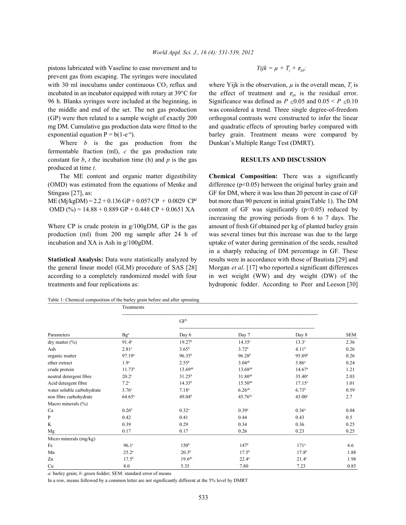pistons lubricated with Vaseline to ease movement and to prevent gas from escaping. The syringes were inoculated with 30 ml inoculums under continuous  $CO_2$  reflux and where Yijk is the observation,  $\mu$  is the overall mean,  $T_j$  is incubated in an incubator equipped with rotary at 39 $\degree$ C for the effect of treatment and  $\varepsilon_{ijk}$  is the residual error.

Where *b* is the gas production from the Dunkan's Multiple Range Test (DMRT). fermentable fraction (ml), *c* the gas production rate constant for  $b$ ,  $t$  the incubation time (h) and  $p$  is the gas **RESULTS AND DISCUSSION** produced at time *t*.

(OMD) was estimated from the equations of Menke and difference ( $p<0.05$ ) between the original barley grain and

production (ml) from 200 mg sample after 24 h of was several times but this increase was due to the large

the general linear model (GLM) procedure of SAS [28] Morgan *et al*. [17] who reported a significant differences according to a completely randomized model with four in wet weight (WW) and dry weight (DW) of the treatments and four replications as: hydroponic fodder. According to Peer and Leeson [30]

Table 1: Chemical composition of the barley grain before and after sprouting

## $Yijk = \mu + T_i + \varepsilon_{ijk}$ ;

96 h. Blanks syringes were included at the beginning, in Significance was defined as  $P \le 0.05$  and  $0.05 \le P \le 0.10$ the middle and end of the set. The net gas production was considered a trend. Three single degree-of-freedom (GP) were then related to a sample weight of exactly 200 orthogonal contrasts were constructed to infer the linear mg DM. Cumulative gas production data were fitted to the and quadratic effects of sprouting barley compared with exponential equation  $P = b(1-e^{-ct})$ . barley grain. Treatment means were compared by

The ME content and organic matter digestibility **Chemical Composition:** There was a significantly Stingass [27], as: GF for DM, where it was less than 20 percent in case of GF ME (Mj/kgDM) =  $2.2 + 0.136$  GP + 0.057 CP + 0.0029 CP<sup>2</sup> but more than 90 percent in initial grain(Table 1). The DM OMD (%) =  $14.88 + 0.889$  GP + 0.448 CP + 0.0651 XA content of GF was significantly (p<0.05) reduced by Where CP is crude protein in g/100gDM, GP is the gas amount of fresh Gf obtained per kg of planted barley grain incubation and XA is Ash in g/100gDM. uptake of water during germination of the seeds, resulted **Statistical Analysis:** Data were statistically analyzed by results were in accordance with those of Bautista [29] and increasing the growing periods from 6 to 7 days. The in a sharply reducing of DM percentage in GF. These

|                            | Treatments                         |                    |                     |                    |            |
|----------------------------|------------------------------------|--------------------|---------------------|--------------------|------------|
|                            |                                    | GF <sup>b</sup>    |                     |                    |            |
| Parameters                 | $\mathbf{B} \mathbf{g}^{\text{a}}$ | Day 6              | Day 7               | Day 8              | <b>SEM</b> |
| dry matter $(\% )$         | 91.4 <sup>a</sup>                  | 19.27 <sup>b</sup> | 14.35 <sup>c</sup>  | 13.3 <sup>c</sup>  | 2.36       |
| Ash                        | 2.81 <sup>c</sup>                  | $3.65^{b}$         | 3.72 <sup>b</sup>   | 4.11 <sup>b</sup>  | 0.26       |
| organic matter             | 97.19 <sup>a</sup>                 | $96.35^{b}$        | 96.28 <sup>b</sup>  | 95.89 <sup>b</sup> | 0.26       |
| ether extract              | 1.9 <sup>c</sup>                   | $2.55^{\rm b}$     | $3.04^{ab}$         | 3.86 <sup>a</sup>  | 0.24       |
| crude protein              | 11.73 <sup>b</sup>                 | 13.69ab            | 13.68 <sup>ab</sup> | 14.67 <sup>a</sup> | 1.21       |
| neutral detergent fibre    | $20.2^{\circ}$                     | $31.25^{b}$        | $31.80^{ab}$        | $35.40^a$          | 2.03       |
| Acid detergent fibre       | $7.2^{\circ}$                      | $14.35^{b}$        | $15.50^{ab}$        | $17.15^a$          | 1.01       |
| water soluble carbohydrate | 3.76 <sup>c</sup>                  | 7.18 <sup>a</sup>  | $6.26^{ab}$         | 6.73 <sup>b</sup>  | 0.59       |
| non fibre carbohydrate     | $64.65^{\circ}$                    | 49.04 <sup>b</sup> | $45.76^{bc}$        | 43.00 <sup>c</sup> | 2.7        |
| Macro minerals $(\% )$     |                                    |                    |                     |                    |            |
| Ca                         | 0.26 <sup>b</sup>                  | $0.32^{a}$         | $0.39^{a}$          | $0.36^{a}$         | 0.04       |
| P                          | 0.42                               | 0.41               | 0.44                | 0.43               | 0.5        |
| K                          | 0.39                               | 0.29               | 0.34                | 0.36               | 0.25       |
| Mg                         | 0.17                               | 0.17               | 0.26                | 0.23               | 0.25       |
| Micro minerals (mg/kg)     |                                    |                    |                     |                    |            |
| Fe                         | $96.1^\circ$                       | 150 <sup>b</sup>   | 147 <sup>b</sup>    | 171 <sup>a</sup>   | 4.6        |
| Mn                         | $25.2^{a}$                         | $20.3^{b}$         | $17.5^{b}$          | 17.8 <sup>b</sup>  | 1.88       |
| Zn                         | $17.5^{b}$                         | 19.6 <sup>ab</sup> | $22.4^a$            | $21.4^a$           | 1.98       |
| Cu                         | 8.0                                | 5.35               | 7.80                | 7.23               | 0.85       |

*a*: barley grain; *b*: green fodder; SEM: standard error of means

In a row, means followed by a common letter are not significantly different at the 5% level by DMRT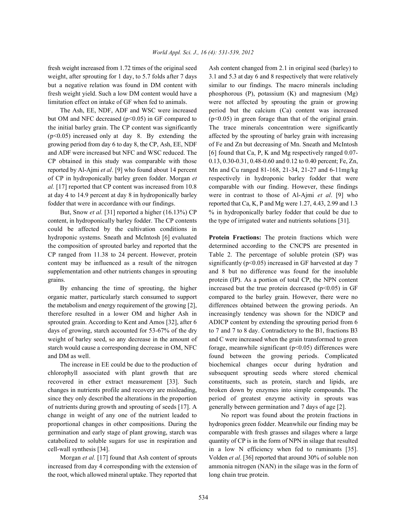but OM and NFC decreased ( $p<0.05$ ) in GF compared to ( $p<0.05$ ) in green forage than that of the original grain. the initial barley grain. The CP content was significantly The trace minerals concentration were significantly  $(p<0.05)$  increased only at day 8. By extending the affected by the sprouting of barley grain with increasing growing period from day 6 to day 8, the CP, Ash, EE, NDF of Fe and Zn but decreasing of Mn. Sneath and McIntosh and ADF were increased but NFC and WSC reduced. The [6] found that Ca, P, K and Mg respectively ranged 0.07-CP obtained in this study was comparable with those  $0.13, 0.30-0.31, 0.48-0.60$  and  $0.12$  to 0.40 percent; Fe, Zn, reported by Al-Ajmi *et al*. [9] who found about 14 percent Mn and Cu ranged 81-168, 21-34, 21-27 and 6-11mg/kg of CP in hydroponically barley green fodder. Morgan *et* respectively in hydroponic barley fodder that were *al.* [17] reported that CP content was increased from 10.8 comparable with our finding. However, these findings at day 4 to 14.9 percent at day 8 in hydroponically barley were in contrast to those of Al-Ajmi *et al*. [9] who fodder that were in accordance with our findings. reported that Ca, K, P and Mg were 1.27, 4.43, 2.99 and 1.3

content, in hydroponically barley fodder. The CP contents the type of irrigated water and nutrients solutions [31]. could be affected by the cultivation conditions in hydroponic systems. Sneath and McIntosh [6] evaluated **Protein Fractions:** The protein fractions which were the composition of sprouted barley and reported that the determined according to the CNCPS are presented in CP ranged from 11.38 to 24 percent. However, protein Table 2. The percentage of soluble protein (SP) was content may be influenced as a result of the nitrogen significantly (p<0.05) increased in GF harvested at day 7 supplementation and other nutrients changes in sprouting and 8 but no difference was found for the insoluble grains. protein (IP). As a portion of total CP, the NPN content

organic matter, particularly starch consumed to support compared to the barley grain. However, there were no the metabolism and energy requirement of the growing [2], differences obtained between the growing periods. An therefore resulted in a lower OM and higher Ash in increasingly tendency was shown for the NDICP and sprouted grain. According to Kent and Amos [32], after 6 ADICP content by extending the sprouting period from 6 days of growing, starch accounted for 53-67% of the dry to 7 and 7 to 8 day. Contradictory to the B1, fractions B3 weight of barley seed, so any decrease in the amount of and C were increased when the grain transformed to green starch would cause a corresponding decrease in OM, NFC forage, meanwhile significant ( $p<0.05$ ) differences were and DM as well. found between the growing periods. Complicated

chlorophyll associated with plant growth that are subsequent sprouting seeds where stored chemical recovered in ether extract measurement [33]. Such constituents, such as protein, starch and lipids, are changes in nutrients profile and recovery are misleading, broken down by enzymes into simple compounds. The since they only described the alterations in the proportion period of greatest enzyme activity in sprouts was of nutrients during growth and sprouting of seeds [17]. A generally between germination and 7 days of age [2]. change in weight of any one of the nutrient leaded to No report was found about the protein fractions in proportional changes in other compositions. During the hydroponics green fodder. Meanwhile our finding may be germination and early stage of plant growing, starch was comparable with fresh grasses and silages where a large catabolized to soluble sugars for use in respiration and quantity of CP is in the form of NPN in silage that resulted cell-wall synthesis [34]. in a low N efficiency when fed to ruminants [35].

increased from day 4 corresponding with the extension of ammonia nitrogen (NAN) in the silage was in the form of the root, which allowed mineral uptake. They reported that long chain true protein.

fresh weight increased from 1.72 times of the original seed Ash content changed from 2.1 in original seed (barley) to weight, after sprouting for 1 day, to 5.7 folds after 7 days 3.1 and 5.3 at day 6 and 8 respectively that were relatively but a negative relation was found in DM content with similar to our findings. The macro minerals including fresh weight yield. Such a low DM content would have a phosphorous (P), potassium (K) and magnesium (Mg) limitation effect on intake of GF when fed to animals. were not affected by sprouting the grain or growing The Ash, EE, NDF, ADF and WSC were increased period but the calcium (Ca) content was increased But, Snow *et al.* [31] reported a higher (16.13%) CP % in hydroponically barley fodder that could be due to

By enhancing the time of sprouting, the higher increased but the true protein decreased  $(p<0.05)$  in GF The increase in EE could be due to the production of biochemical changes occur during hydration and

Morgan *et al.* [17] found that Ash content of sprouts Volden *et al*. [36] reported that around 30% of soluble non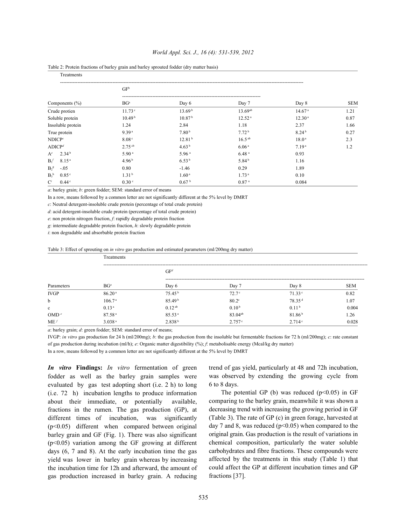| World Appl. Sci. J., 16 (4): 531-539, 2012 |  |  |
|--------------------------------------------|--|--|
|--------------------------------------------|--|--|

### Table 2: Protein fractions of barley grain and barley sprouted fodder (dry matter basis)

Treatments

|                                | GF <sup>b</sup>      |                    |                    |                    |            |  |
|--------------------------------|----------------------|--------------------|--------------------|--------------------|------------|--|
| Components $(\% )$             | BG <sup>a</sup>      | Day 6              | Day 7              | Day 8              | <b>SEM</b> |  |
| Crude protien                  | 11.73 <sup>c</sup>   | 13.69 <sup>b</sup> | $13.69^{ab}$       | 14.67 <sup>a</sup> | 1.21       |  |
| Soluble protein                | 10.49 <sup>b</sup>   | 10.87 <sup>b</sup> | 12.52 <sup>a</sup> | 12.30 <sup>a</sup> | 0.87       |  |
| Insoluble protein              | 1.24                 | 2.84               | 1.18               | 2.37               | 1.66       |  |
| True protein                   | 9.39 <sup>a</sup>    | 7.80 <sup>b</sup>  | 7.72 <sup>b</sup>  | 8.24 <sup>b</sup>  | 0.27       |  |
| NDICP <sup>c</sup>             | 8.08 <sup>c</sup>    | 12.81 <sup>b</sup> | $16.5^{ab}$        | 18.0 <sup>a</sup>  | 2.3        |  |
| ADICP <sup>d</sup>             | $2.75$ <sup>cb</sup> | 4.63 <sup>b</sup>  | 6.06 <sup>a</sup>  | 7.19 <sup>a</sup>  | 1.2        |  |
| 2.34 <sup>b</sup><br>$A^e$     | 5.90 <sup>a</sup>    | 5.96 <sup>a</sup>  | 6.48 <sup>a</sup>  | 0.93               |            |  |
| 8.15 <sup>a</sup><br>$B_1$     | 4.96 <sup>b</sup>    | 6.53 <sup>b</sup>  | 5.84 <sup>b</sup>  | 1.16               |            |  |
| $B_2$ <sup>g</sup><br>$-.05$   | 0.80                 | $-1.46$            | 0.29               | 1.89               |            |  |
| 0.85 <sup>c</sup><br>$B_3^h$   | 1.31 <sup>b</sup>    | 1.60 <sup>a</sup>  | 1.73 <sup>a</sup>  | 0.10               |            |  |
| $\mathbf{C}^i$<br>$0.44^\circ$ | 0.30 <sup>c</sup>    | 0.67 <sup>b</sup>  | 0.87 <sup>a</sup>  | 0.084              |            |  |

*a*: barley grain; *b*: green fodder; SEM: standard error of means

In a row, means followed by a common letter are not significantly different at the 5% level by DMRT

*c*: Neutral detergent-insoluble crude protein (percentage of total crude protein)

*d*: acid detergent-insoluble crude protein (percentage of total crude protein)

*e*: non protein nitrogen fraction, *f*: rapidly degradable protein fraction

*g*: intermediate degradable protein fraction, *h*: slowly degradable protein

*i*: non degradable and absorbable protein fraction

Table 3: Effect of sprouting on *in vitro* gas production and estimated parameters (ml/200mg dry matter)

| Parameters      | Treatments         |                    |                     |                    |            |  |
|-----------------|--------------------|--------------------|---------------------|--------------------|------------|--|
|                 |                    | GF <sup>d</sup>    |                     |                    |            |  |
|                 | $BG^a$             | Day 6              | Day 7               | Day 8              | <b>SEM</b> |  |
| <b>IVGP</b>     | 86.20 <sup>a</sup> | 75.45 <sup>b</sup> | 72.7 <sup>c</sup>   | $71.33^{\circ}$    | 0.82       |  |
| $\mathbf b$     | 106.7 <sup>a</sup> | 85.49 <sup>b</sup> | $80.2^\circ$        | 78.35 <sup>d</sup> | 1.07       |  |
| $\mathbf{c}$    | 0.13 <sup>a</sup>  | $0.12^{ab}$        | 0.10 <sup>b</sup>   | 0.11 <sup>b</sup>  | 0.004      |  |
| OMD $e$         | 87.58 <sup>a</sup> | 85.53 <sup>a</sup> | 83.04 <sup>ab</sup> | 81.86 <sup>b</sup> | 1.26       |  |
| ME <sup>f</sup> | 3.038 <sup>a</sup> | 2.838 <sup>b</sup> | 2.757c              | 2.714c             | 0.028      |  |

*a*: barley grain; *d*: green fodder; SEM: standard error of means;

IVGP: *in vitro* gas production for 24 h (ml/200mg); *b*: the gas production from the insoluble but fermentable fractions for 72 h (ml/200mg); *c*: rate constant of gas production during incubation (ml/h); *e*: Organic matter digestibility (%); *f*: metabolisable energy (Mcal/kg dry matter)

In a row, means followed by a common letter are not significantly different at the 5% level by DMRT

fodder as well as the barley grain samples were evaluated by gas test adopting short (i.e. 2 h) to long (i.e. 72 h) incubation lengths to produce information about their immediate, or potentially available, fractions in the rumen. The gas production (GP), at different times of incubation, was significantly (p<0.05) different when compared between original barley grain and GF (Fig. 1). There was also significant  $(p<0.05)$  variation among the GF growing at different days (6, 7 and 8). At the early incubation time the gas yield was lower in barley grain whereas by increasing the incubation time for 12h and afterward, the amount of gas production increased in barley grain. A reducing

*In vitro* **Findings:** *In vitro* fermentation of green trend of gas yield, particularly at 48 and 72h incubation, was observed by extending the growing cycle from 6 to 8 days.

> The potential GP (b) was reduced  $(p<0.05)$  in GF comparing to the barley grain, meanwhile it was shown a decreasing trend with increasing the growing period in GF (Table 3). The rate of GP (c) in green forage, harvested at day 7 and 8, was reduced ( $p<0.05$ ) when compared to the original grain. Gas production is the result of variations in chemical composition, particularly the water soluble carbohydrates and fibre fractions. These compounds were affected by the treatments in this study (Table 1) that could affect the GP at different incubation times and GP fractions [37].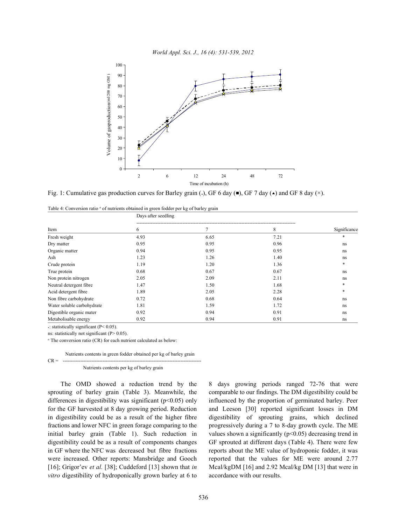

Fig. 1: Cumulative gas production curves for Barley grain (.), GF 6 day ( $\bullet$ ), GF 7 day ( $\star$ ) and GF 8 day ( $\times$ ).

Table 4: Conversion ratio <sup>a</sup> of nutrients obtained in green fodder per kg of barley grain

|                            | Days after seedling |      |      |              |
|----------------------------|---------------------|------|------|--------------|
| Item                       | 6                   | 7    | 8    | Significance |
| Fresh weight               | 4.93                | 6.65 | 7.21 | *            |
| Dry matter                 | 0.95                | 0.95 | 0.96 | ns           |
| Organic matter             | 0.94                | 0.95 | 0.95 | ns           |
| Ash                        | 1.23                | 1.26 | 1.40 | ns           |
| Crude protein              | 1.19                | 1.20 | 1.36 | $*$          |
| True protein               | 0.68                | 0.67 | 0.67 | ns           |
| Non protein nitrogen       | 2.05                | 2.09 | 2.11 | ns           |
| Neutral detergent fibre    | 1.47                | 1.50 | 1.68 | *            |
| Acid detergent fibre       | 1.89                | 2.05 | 2.28 | *            |
| Non fibre carbohydrate     | 0.72                | 0.68 | 0.64 | ns           |
| Water soluble carbohydrate | 1.81                | 1.59 | 1.72 | ns           |
| Digestible organic mater   | 0.92                | 0.94 | 0.91 | ns           |
| Metabolisable energy       | 0.92                | 0.94 | 0.91 | ns           |

: statistically significant (P< 0.05). \*

ns: statistically not significant (P> 0.05).

<sup>*a*</sup> The conversion ratio (CR) for each nutrient calculated as below:

Nutrients contents in green fodder obtained per kg of barley grain CR = ---------------------------------------------------------------------------------------

Nutrients contents per kg of barley grain

sprouting of barley grain (Table 3). Meanwhile, the comparable to our findings. The DM digestibility could be differences in digestibility was significant ( $p<0.05$ ) only influenced by the proportion of germinated barley. Peer for the GF harvested at 8 day growing period. Reduction and Leeson [30] reported significant losses in DM in digestibility could be as a result of the higher fibre digestibility of sprouting grains, which declined fractions and lower NFC in green forage comparing to the progressively during a 7 to 8-day growth cycle. The ME initial barley grain (Table 1). Such reduction in values shown a significantly  $(p<0.05)$  decreasing trend in digestibility could be as a result of components changes GF sprouted at different days (Table 4). There were few in GF where the NFC was decreased but fibre fractions reports about the ME value of hydroponic fodder, it was were increased. Other reports: Mansbridge and Gooch reported that the values for ME were around 2.77 [16]; Grigor'ev *et al.* [38]; Cuddeford [13] shown that *in* Mcal/kgDM [16] and 2.92 Mcal/kg DM [13] that were in *vitro* digestibility of hydroponically grown barley at 6 to accordance with our results.

The OMD showed a reduction trend by the 8 days growing periods ranged 72-76 that were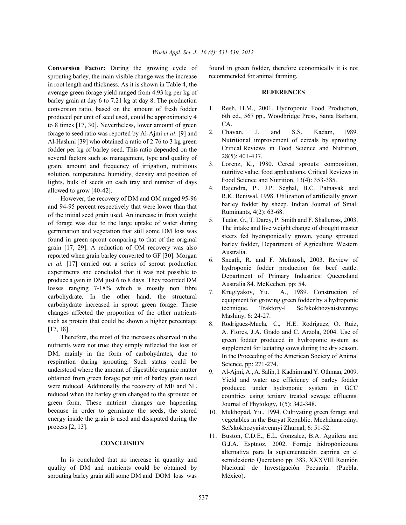**Conversion Factor:** During the growing cycle of found in green fodder, therefore economically it is not sprouting barley, the main visible change was the increase in root length and thickness. As it is shown in Table 4, the average green forage yield ranged from 4.93 kg per kg of barley grain at day 6 to 7.21 kg at day 8. The production conversion ratio, based on the amount of fresh fodder produced per unit of seed used, could be approximately 4 to 8 times [17, 30]. Nevertheless, lower amount of green forage to seed ratio was reported by Al-Ajmi *et al*. [9] and Al-Hashmi [39] who obtained a ratio of 2.76 to 3 kg green fodder per kg of barley seed. This ratio depended on the several factors such as management, type and quality of grain, amount and frequency of irrigation, nutritious solution, temperature, humidity, density and position of lights, bulk of seeds on each tray and number of days allowed to grow [40-42].

However, the recovery of DM and OM ranged 95-96 and 94-95 percent respectively that were lower than that of the initial seed grain used. An increase in fresh weight of forage was due to the large uptake of water during germination and vegetation that still some DM loss was found in green sprout comparing to that of the original grain [17, 29]. A reduction of OM recovery was also reported when grain barley converted to GF [30]. Morgan *et al.* [17] carried out a series of sprout production experiments and concluded that it was not possible to produce a gain in DM just 6 to 8 days. They recorded DM losses ranging 7-18% which is mostly non fibre carbohydrate. In the other hand, the structural carbohydrate increased in sprout green forage. These changes affected the proportion of the other nutrients such as protein that could be shown a higher percentage [17, 18].

Therefore, the most of the increases observed in the nutrients were not true; they simply reflected the loss of DM, mainly in the form of carbohydrates, due to respiration during sprouting. Such status could be understood where the amount of digestible organic matter obtained from green forage per unit of barley grain used were reduced. Additionally the recovery of ME and NE reduced when the barley grain changed to the sprouted or green form. These nutrient changes are happening because in order to germinate the seeds, the stored energy inside the grain is used and dissipated during the process [2, 13].

### **CONCLUSION**

In is concluded that no increase in quantity and quality of DM and nutrients could be obtained by sprouting barley grain still some DM and DOM loss was

recommended for animal farming.

### **REFERENCES**

- 1. Resh, H.M., 2001. Hydroponic Food Production, 6th ed., 567 pp., Woodbridge Press, Santa Barbara, CA.
- 2. Chavan, J. and S.S. Kadam, 1989. Nutritional improvement of cereals by sprouting. Critical Reviews in Food Science and Nutrition, 28(5): 401-437.
- 3. Lorenz, K., 1980. Cereal sprouts: composition, nutritive value, food applications. Critical Reviews in Food Science and Nutrition, 13(4): 353-385.
- 4. Rajendra, P., J.P. Seghal, B.C. Patnayak and R.K. Beniwal, 1998. Utilization of artificially grown barley fodder by sheep. Indian Journal of Small Ruminants, 4(2): 63-68.
- 5. Tudor, G., T. Darcy, P. Smith and F. Shallcross, 2003. The intake and live weight change of drought master steers fed hydroponically grown, young sprouted barley fodder, Department of Agriculture Western Australia.
- 6. Sneath, R. and F. McIntosh, 2003. Review of hydroponic fodder production for beef cattle. Department of Primary Industries: Queensland Australia 84. McKeehen, pp: 54.
- 7. Kruglyakov, Yu. A., 1989. Construction of equipment for growing green fodder by a hydroponic technique. Traktory-I Sel'skokhozyaistvennye Mashiny, 6: 24-27.
- 8. Rodriguez-Muela, C., H.E. Rodriguez, O. Ruiz, A. Flores, J.A. Grado and C. Arzola, 2004. Use of green fodder produced in hydroponic system as supplement for lactating cows during the dry season. In the Proceeding of the American Society of Animal Science, pp: 271-274.
- 9. Al-Ajmi, A., A. Salih, I. Kadhim and Y. Othman, 2009. Yield and water use efficiency of barley fodder produced under hydroponic system in GCC countries using tertiary treated sewage effluents. Journal of Phytology, 1(5): 342-348.
- 10. Mukhopad, Yu., 1994. Cultivating green forage and vegetables in the Buryat Republic. Mezhdunarodnyi Sel'skokhozyaistvennyi Zhurnal, 6: 51-52.
- 11. Buston, C.D.E., E.L. Gonzalez, B.A. Aguilera and G.J.A. Esptnoz, 2002. Forraje hidropónicouna alternativa para la suplementación caprina en el semidesierto Queretano pp: 383. XXXVIII Reunión Nacional de Investigación Pecuaria. (Puebla, México).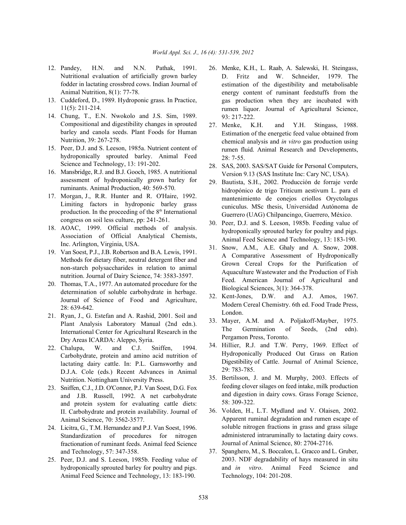- Nutritional evaluation of artificially grown barley fodder in lactating crossbred cows. Indian Journal of Animal Nutrition, 8(1): 77-78.
- 13. Cuddeford, D., 1989. Hydroponic grass. In Practice, 11(5): 211-214.
- 14. Chung, T., E.N. Nwokolo and J.S. Sim, 1989. Compositional and digestibility changes in sprouted barley and canola seeds. Plant Foods for Human Nutrition, 39: 267-278.
- 15. Peer, D.J. and S. Leeson, 1985a. Nutrient content of hydroponically sprouted barley. Animal Feed Science and Technology, 13: 191-202.
- 16. Mansbridge, R.J. and B.J. Gooch, 1985. A nutritional assessment of hydroponically grown barley for ruminants. Animal Production, 40: 569-570.
- 17. Morgan, J., R.R. Hunter and R. O'Haire, 1992. Limiting factors in hydroponic barley grass production. In the proceeding of the  $8<sup>th</sup>$  International congress on soil less culture, pp: 241-261.
- 18. AOAC, 1999. Official methods of analysis. Association of Official Analytical Chemists, Inc. Arlington, Virginia, USA.
- 19. Van Soest, P.J., J.B. Robertson and B.A. Lewis, 1991. Methods for dietary fiber, neutral detergent fiber and non-starch polysaccharides in relation to animal nutrition. Journal of Dairy Science, 74: 3583-3597.
- 20. Thomas, T.A., 1977. An automated procedure for the determination of soluble carbohydrate in herbage. Journal of Science of Food and Agriculture, 28: 639-642.
- 21. Ryan, J., G. Estefan and A. Rashid, 2001. Soil and Plant Analysis Laboratory Manual (2nd edn.). International Center for Agricultural Research in the Dry Areas ICARDA: Aleppo, Syria.
- 22. Chalupa, W. and C.J. Sniffen, 1994. Carbohydrate, protein and amino acid nutrition of lactating dairy cattle. In: P.L. Garnsworthy and D.J.A. Cole (eds.) Recent Advances in Animal Nutrition. Nottingham University Press.
- 23. Sniffen, C.J., J.D. O'Connor, P.J. Van Soest, D.G. Fox and J.B. Russell, 1992. A net carbohydrate and protein system for evaluating cattle diets: II. Carbohydrate and protein availability. Journal of Animal Science, 70: 3562-3577.
- 24. Licitra, G., T.M. Hernandez and P.J. Van Soest, 1996. Standardization of procedures for nitrogen fractionation of ruminant feeds. Animal feed Science and Technology, 57: 347-358.
- 25. Peer, D.J. and S. Leeson, 1985b. Feeding value of hydroponically sprouted barley for poultry and pigs. Animal Feed Science and Technology, 13: 183-190.
- 12. Pandey, H.N. and N.N. Pathak, 1991. 26. Menke, K.H., L. Raab, A. Salewski, H. Steingass, D. Fritz and W. Schneider, 1979. The estimation of the digestibility and metabolisable energy content of ruminant feedstuffs from the gas production when they are incubated with rumen liquor. Journal of Agricultural Science, 93: 217-222.
	- 27. Menke, K.H. and Y.H. Stingass, 1988. Estimation of the energetic feed value obtained from chemical analysis and *in vitro* gas production using rumen fluid. Animal Research and Developments, 28: 7-55.
	- 28. SAS, 2003. SAS/SAT Guide for Personal Computers, Version 9.13 (SAS Institute Inc: Cary NC, USA).
	- 29. Bautista, S.H., 2002. Producción de forraje verde hidropónico de trigo Triticum aestivum L. para el mantenimiento de conejos criollos Oryctolagus cuniculus. MSc thesis, Universidad Autónoma de Guerrero (UAG) Chilpancingo, Guerrero, México.
	- 30. Peer, D.J. and S. Leeson, 1985b. Feeding value of hydroponically sprouted barley for poultry and pigs. Animal Feed Science and Technology, 13: 183-190.
	- 31. Snow, A.M., A.E. Ghaly and A. Snow, 2008. A Comparative Assessment of Hydroponically Grown Cereal Crops for the Purification of Aquaculture Wastewater and the Production of Fish Feed. American Journal of Agricultural and Biological Sciences, 3(1): 364-378.
	- 32. Kent-Jones, D.W. and A.J. Amos, 1967. Modern Cereal Chemistry. 6th ed. Food Trade Press, London.
	- 33. Mayer, A.M. and A. Poljakoff-Mayber, 1975. The Germination of Seeds, (2nd edn). Pergamon Press, Toronto.
	- 34. Hillier, R.J. and T.W. Perry, 1969. Effect of Hydroponically Produced Oat Grass on Ration Digestibility of Cattle. Journal of Animal Science, 29: 783-785.
	- 35. Bertilsson, J. and M. Murphy, 2003. Effects of feeding clover silages on feed intake, milk production and digestion in dairy cows. Grass Forage Science, 58: 309-322.
	- 36. Volden, H., L.T. Mydland and V. Olaisen, 2002. Apparent ruminal degradation and rumen escape of soluble nitrogen fractions in grass and grass silage administered intraruminally to lactating dairy cows. Journal of Animal Science, 80: 2704-2716.
	- 37. Spanghero, M., S. Boccalon, L. Gracco and L. Gruber, 2003. NDF degradability of hays measured in situ and *in vitro*. Animal Feed Science and Technology, 104: 201-208.